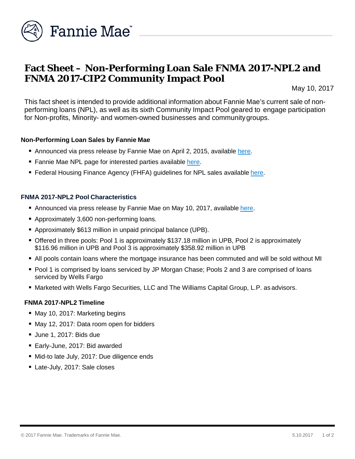

# **Fact Sheet – Non-Performing Loan Sale FNMA 2017-NPL2 and FNMA 2017-CIP2 Community Impact Pool**

May 10, 2017

This fact sheet is intended to provide additional information about Fannie Mae's current sale of nonperforming loans (NPL), as well as its sixth Community Impact Pool geared to engage participation for Non-profits, Minority- and women-owned businesses and communitygroups.

### **Non-Performing Loan Sales by Fannie Mae**

- Announced via press release by Fannie Mae on April 2, 2015, available [here.](http://www.fanniemae.com/portal/media/financial-news/2015/6233.html)
- Fannie Mae NPL page for interested parties available [here.](http://www.fanniemae.com/portal/funding-the-market/npl/index.html)
- **Federal Housing Finance Agency (FHFA) guidelines for NPL sales available [here.](http://www.fhfa.gov/Media/PublicAffairs/Pages/Non-Performing-Loan-%28NPL%29-Sale-Requirements.aspx)**

### **FNMA 2017-NPL2 Pool Characteristics**

- Announced via press release by Fannie Mae on May 10, 2017, available [here.](http://www.fanniemae.com/portal/media/financial-news/2017/nonperforming-loan-sale-6555.html)
- Approximately 3,600 non-performing loans.
- Approximately \$613 million in unpaid principal balance (UPB).
- Offered in three pools: Pool 1 is approximately \$137.18 million in UPB, Pool 2 is approximately \$116.96 million in UPB and Pool 3 is approximately \$358.92 million in UPB
- All pools contain loans where the mortgage insurance has been commuted and will be sold without MI
- **Pool 1 is comprised by loans serviced by JP Morgan Chase; Pools 2 and 3 are comprised of loans** serviced by Wells Fargo
- Marketed with Wells Fargo Securities, LLC and The Williams Capital Group, L.P. as advisors.

## **FNMA 2017-NPL2 Timeline**

- May 10, 2017: Marketing begins
- May 12, 2017: Data room open for bidders
- Uune 1, 2017: Bids due
- Early-June, 2017: Bid awarded
- Mid-to late July, 2017: Due diligence ends
- Late-July, 2017: Sale closes